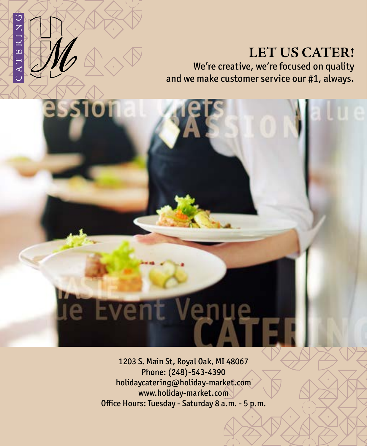## **G**<br>NG  $\approx$  $\Box$ CAT

ıe

#### **LET US CATER!** We're creative, we're focused on quality and we make customer service our #1, always.

1203 S. Main St, Royal Oak, MI 48067 Phone: (248)-543-4390 holidaycatering@holiday-market.com www.holiday-market.com Office Hours: Tuesday - Saturday 8 a.m. - 5 p.m.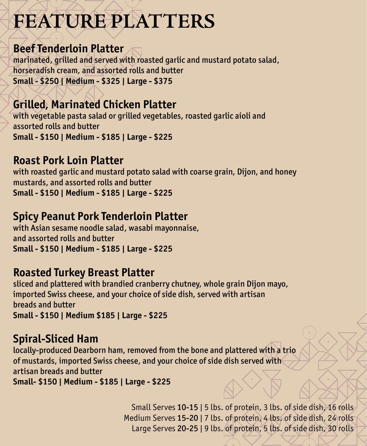## **FEATURE PLATTERS**

#### **Beef Tenderloin Platter**

marinated, grilled and served with roasted garlic and mustard potato salad, horseradish cream, and assorted rolls and butter **Small - \$250 | Medium - \$325 | Large - \$375**

### **Grilled, Marinated Chicken Platter**

with vegetable pasta salad or grilled vegetables, roasted garlic aioli and assorted rolls and butter **Small - \$150 | Medium - \$185 | Large - \$225**

#### **Roast Pork Loin Platter**

with roasted garlic and mustard potato salad with coarse grain, Dijon, and honey mustards, and assorted rolls and butter **Small - \$150 | Medium - \$185 | Large - \$225**

### **Spicy Peanut Pork Tenderloin Platter**

with Asian sesame noodle salad, wasabi mayonnaise, and assorted rolls and butter **Small - \$150 | Medium - \$185 | Large - \$225**

#### **Roasted Turkey Breast Platter**

sliced and plattered with brandied cranberry chutney, whole grain Dijon mayo, imported Swiss cheese, and your choice of side dish, served with artisan breads and butter **Small - \$150 | Medium \$185 | Large - \$225**

#### **Spiral-Sliced Ham**

locally-produced Dearborn ham, removed from the bone and plattered with a trio of mustards, imported Swiss cheese, and your choice of side dish served with artisan breads and butter **Small- \$150 | Medium - \$185 | Large - \$225**

> Small Serves 10-15 | 5 lbs. of protein, 3 lbs. of side dish, 16 rolls Medium Serves 15-20 | 7 lbs. of protein, 4 lbs. of side dish, 24 rolls Large Serves 20-25 | 9 lbs. of protein, 5 lbs. of side dish, 30 rolls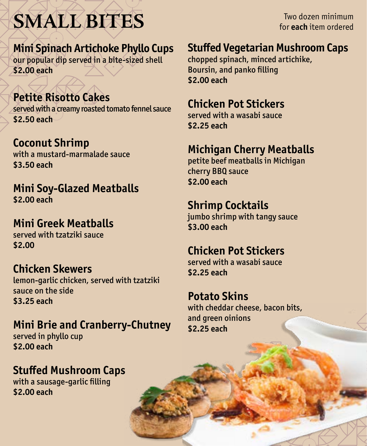**SMALL BITES**

Two dozen minimum for **each** item ordered

**Mini Spinach Artichoke Phyllo Cups**

our popular dip served in a bite-sized shell **\$2.00 each**

#### **Petite Risotto Cakes**

served with a creamy roasted tomato fennel sauce **\$2.50 each**

**Coconut Shrimp** with a mustard-marmalade sauce **\$3.50 each**

**Mini Soy-Glazed Meatballs \$2.00 each**

**Mini Greek Meatballs** served with tzatziki sauce **\$2.00**

### **Chicken Skewers**

lemon-garlic chicken, served with tzatziki sauce on the side **\$3.25 each**

### **Mini Brie and Cranberry-Chutney**

served in phyllo cup **\$2.00 each**

## **Stuffed Mushroom Caps**

with a sausage-garlic filling **\$2.00 each**

### **Stuffed Vegetarian Mushroom Caps**

chopped spinach, minced artichike, Boursin, and panko filling **\$2.00 each**

#### **Chicken Pot Stickers**

served with a wasabi sauce **\$2.25 each**

## **Michigan Cherry Meatballs**

petite beef meatballs in Michigan cherry BBQ sauce **\$2.00 each**

#### **Shrimp Cocktails**

jumbo shrimp with tangy sauce **\$3.00 each**

#### **Chicken Pot Stickers**

served with a wasabi sauce **\$2.25 each**

#### **Potato Skins**

with cheddar cheese, bacon bits, and green oinions **\$2.25 each**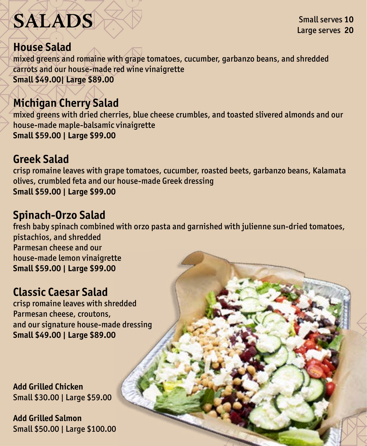# **SALADS**

Small serves **10** Large serves **20**

#### **House Salad**

mixed greens and romaine with grape tomatoes, cucumber, garbanzo beans, and shredded carrots and our house-made red wine vinaigrette **Small \$49.00| Large \$89.00** 

#### **Michigan Cherry Salad**

mixed greens with dried cherries, blue cheese crumbles, and toasted slivered almonds and our house-made maple-balsamic vinaigrette **Small \$59.00 | Large \$99.00**

#### **Greek Salad**

crisp romaine leaves with grape tomatoes, cucumber, roasted beets, garbanzo beans, Kalamata olives, crumbled feta and our house-made Greek dressing **Small \$59.00 | Large \$99.00**

#### **Spinach-Orzo Salad**

fresh baby spinach combined with orzo pasta and garnished with julienne sun-dried tomatoes, pistachios, and shredded Parmesan cheese and our house-made lemon vinaigrette **Small \$59.00 | Large \$99.00**

#### **Classic Caesar Salad**

crisp romaine leaves with shredded Parmesan cheese, croutons, and our signature house-made dressing **Small \$49.00 | Large \$89.00**

**Add Grilled Chicken**  Small \$30.00 | Large \$59.00

**Add Grilled Salmon** Small \$50.00 | Large \$100.00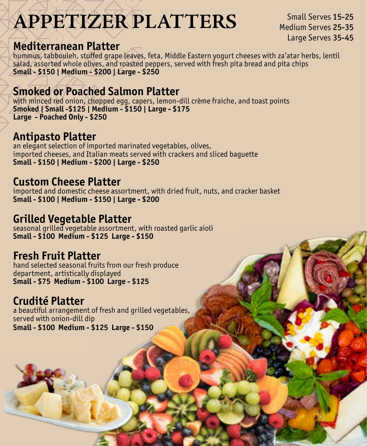## **APPETIZER PLATTERS**

Small Serves 15-25 Medium Serves 25-35 Large Serves 35-45

#### **Mediterranean Platter**

hummus, tabbouleh, stuffed grape leaves, feta, Middle Eastern yogurt cheeses with za'atar herbs, lentil salad, assorted whole olives, and roasted peppers, served with fresh pita bread and pita chips **Small - \$150 | Medium - \$200 | Large - \$250**

#### **Smoked or Poached Salmon Platter**

with minced red onion, chopped egg, capers, lemon-dill crème fraiche, and toast points **Smoked | Small -\$125 | Medium - \$150 | Large - \$175 Large - Poached Only - \$250**

#### **Antipasto Platter**

an elegant selection of imported marinated vegetables, olives, imported cheeses, and Italian meats served with crackers and sliced baguette **Small - \$150 | Medium - \$200 | Large - \$250**

#### **Custom Cheese Platter**

imported and domestic cheese assortment, with dried fruit, nuts, and cracker basket **Small - \$100 | Medium - \$150 | Large - \$200**

#### **Grilled Vegetable Platter**

seasonal grilled vegetable assortment, with roasted garlic aioli **Small - \$100 Medium - \$125 Large - \$150**

### **Fresh Fruit Platter**

hand selected seasonal fruits from our fresh produce department, artistically displayed **Small - \$75 Medium - \$100 Large - \$125**

### **Crudité Platter**

a beautiful arrangement of fresh and grilled vegetables, served with onion-dill dip **Small - \$100 Medium - \$125 Large - \$150**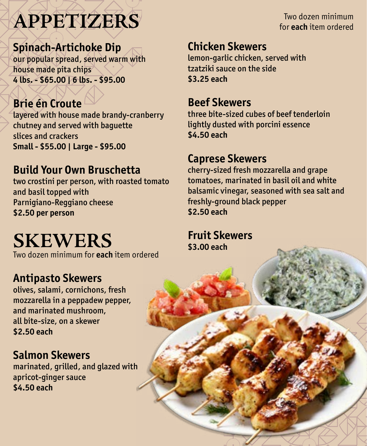## **APPETIZERS**

**Spinach-Artichoke Dip** our popular spread, served warm with house made pita chips **4 lbs. - \$65.00 | 6 lbs. - \$95.00**

## **Brie én Croute**

layered with house made brandy-cranberry chutney and served with baguette slices and crackers **Small - \$55.00 | Large - \$95.00**

### **Build Your Own Bruschetta**

two crostini per person, with roasted tomato and basil topped with Parnigiano-Reggiano cheese **\$2.50 per person**

## **SKEWERS**

Two dozen minimum for **each** item ordered

### **Antipasto Skewers**

olives, salami, cornichons, fresh mozzarella in a peppadew pepper, and marinated mushroom, all bite-size, on a skewer **\$2.50 each**

#### **Salmon Skewers**

marinated, grilled, and glazed with apricot-ginger sauce **\$4.50 each** 

Two dozen minimum for **each** item ordered

#### **Chicken Skewers**

lemon-garlic chicken, served with tzatziki sauce on the side **\$3.25 each**

#### **Beef Skewers**

three bite-sized cubes of beef tenderloin lightly dusted with porcini essence **\$4.50 each**

#### **Caprese Skewers**

cherry-sized fresh mozzarella and grape tomatoes, marinated in basil oil and white balsamic vinegar, seasoned with sea salt and freshly-ground black pepper **\$2.50 each**

**Fruit Skewers \$3.00 each**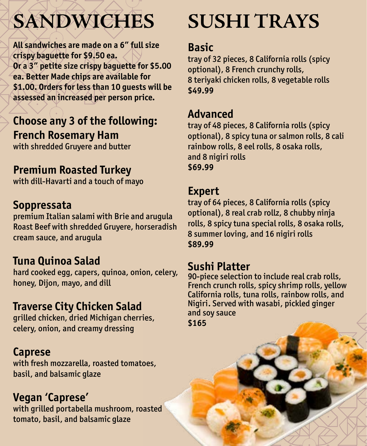## **SANDWICHES**

**All sandwiches are made on a 6" full size crispy baguette for \$9.50 ea. Or a 3" petite size crispy baguette for \$5.00 ea. Better Made chips are available for \$1.00. Orders for less than 10 guests will be assessed an increased per person price.**

## **Choose any 3 of the following: French Rosemary Ham**

with shredded Gruyere and butter

### **Premium Roasted Turkey**

with dill-Havarti and a touch of mayo

### **Soppressata**

premium Italian salami with Brie and arugula Roast Beef with shredded Gruyere, horseradish cream sauce, and arugula

### **Tuna Quinoa Salad**

hard cooked egg, capers, quinoa, onion, celery, honey, Dijon, mayo, and dill

## **Traverse City Chicken Salad**

grilled chicken, dried Michigan cherries, celery, onion, and creamy dressing

### **Caprese**

with fresh mozzarella, roasted tomatoes, basil, and balsamic glaze

### **Vegan 'Caprese'**

with grilled portabella mushroom, roasted tomato, basil, and balsamic glaze

## **SUSHI TRAYS**

#### **Basic**

tray of 32 pieces, 8 California rolls (spicy optional), 8 French crunchy rolls, 8 teriyaki chicken rolls, 8 vegetable rolls **\$49.99**

### **Advanced**

tray of 48 pieces, 8 California rolls (spicy optional), 8 spicy tuna or salmon rolls, 8 cali rainbow rolls, 8 eel rolls, 8 osaka rolls, and 8 nigiri rolls **\$69.99**

#### **Expert**

tray of 64 pieces, 8 California rolls (spicy optional), 8 real crab rollz, 8 chubby ninja rolls, 8 spicy tuna special rolls, 8 osaka rolls, 8 summer loving, and 16 nigiri rolls **\$89.99**

#### **Sushi Platter**

90-piece selection to include real crab rolls, French crunch rolls, spicy shrimp rolls, yellow California rolls, tuna rolls, rainbow rolls, and Nigiri. Served with wasabi, pickled ginger and soy sauce **\$165**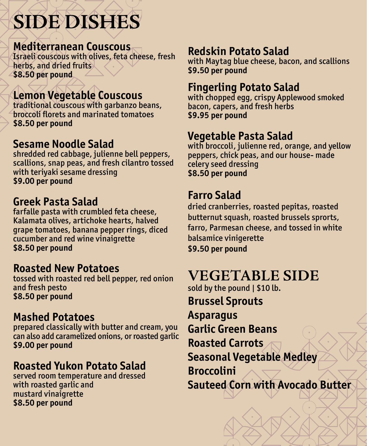## **SIDE DISHES**

#### **Mediterranean Couscous**

Israeli couscous with olives, feta cheese, fresh herbs, and dried fruits **\$8.50 per pound**

### **Lemon Vegetable Couscous**

traditional couscous with garbanzo beans, broccoli florets and marinated tomatoes **\$8.50 per pound**

#### **Sesame Noodle Salad**

shredded red cabbage, julienne bell peppers, scallions, snap peas, and fresh cilantro tossed with teriyaki sesame dressing **\$9.00 per pound**

#### **Greek Pasta Salad**

farfalle pasta with crumbled feta cheese, Kalamata olives, artichoke hearts, halved grape tomatoes, banana pepper rings, diced cucumber and red wine vinaigrette **\$8.50 per pound**

#### **Roasted New Potatoes**

tossed with roasted red bell pepper, red onion and fresh pesto **\$8.50 per pound**

#### **Mashed Potatoes**

prepared classically with butter and cream, you can also add caramelized onions, or roasted garlic **\$9.00 per pound**

#### **Roasted Yukon Potato Salad**

served room temperature and dressed with roasted garlic and mustard vinaigrette **\$8.50 per pound**

### **Redskin Potato Salad**

with Maytag blue cheese, bacon, and scallions **\$9.50 per pound**

#### **Fingerling Potato Salad**

with chopped egg, crispy Applewood smoked bacon, capers, and fresh herbs **\$9.95 per pound**

#### **Vegetable Pasta Salad**

with broccoli, julienne red, orange, and yellow peppers, chick peas, and our house- made celery seed dressing **\$8.50 per pound**

#### **Farro Salad**

dried cranberries, roasted pepitas, roasted butternut squash, roasted brussels sprorts, farro, Parmesan cheese, and tossed in white balsamice vinigerette **\$9.50 per pound**

## **VEGETABLE SIDE**

sold by the pound | \$10 lb. **Brussel Sprouts Asparagus Garlic Green Beans Roasted Carrots Seasonal Vegetable Medley Broccolini Sauteed Corn with Avocado Butter**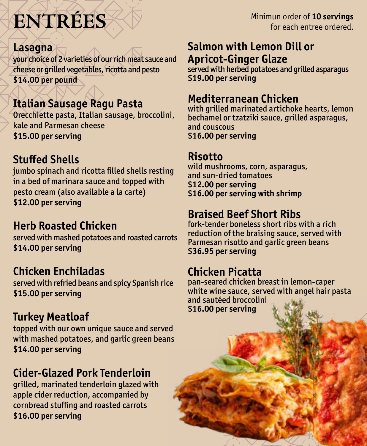# **ENTRÉES**

#### **Lasagna**

your choice of 2 varieties of our rich meat sauce and cheese or grilled vegetables, ricotta and pesto **\$14.00 per pound**

## **Italian Sausage Ragu Pasta**

Orecchiette pasta, Italian sausage, broccolini, kale and Parmesan cheese **\$15.00 per serving**

## **Stuffed Shells**

jumbo spinach and ricotta filled shells resting in a bed of marinara sauce and topped with pesto cream (also available a la carte) **\$12.00 per serving**

## **Herb Roasted Chicken**

served with mashed potatoes and roasted carrots **\$14.00 per serving**

### **Chicken Enchiladas**

served with refried beans and spicy Spanish rice **\$15.00 per serving**

### **Turkey Meatloaf**

topped with our own unique sauce and served with mashed potatoes, and garlic green beans **\$14.00 per serving**

## **Cider-Glazed Pork Tenderloin**

grilled, marinated tenderloin glazed with apple cider reduction, accompanied by cornbread stuffing and roasted carrots **\$16.00 per serving**

Minimun order of **10 servings**  for each entree ordered.

#### **Salmon with Lemon Dill or Apricot-Ginger Glaze**

served with herbed potatoes and grilled asparagus **\$19.00 per serving**

#### **Mediterranean Chicken**

with grilled marinated artichoke hearts, lemon bechamel or tzatziki sauce, grilled asparagus, and couscous **\$16.00 per serving**

#### **Risotto**

wild mushrooms, corn, asparagus, and sun-dried tomatoes **\$12.00 per serving \$16.00 per serving with shrimp**

#### **Braised Beef Short Ribs**

fork-tender boneless short ribs with a rich reduction of the braising sauce, served with Parmesan risotto and garlic green beans **\$36.95 per serving**

## **Chicken Picatta**

pan-seared chicken breast in lemon-caper white wine sauce, served with angel hair pasta and sautéed broccolini **\$16.00 per serving**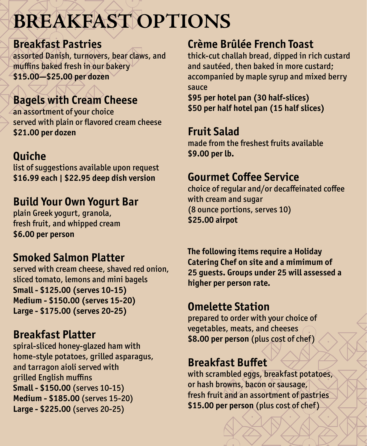## **BREAKFAST OPTIONS**

#### **Breakfast Pastries**

assorted Danish, turnovers, bear claws, and muffins baked fresh in our bakery **\$15.00—\$25.00 per dozen**

## **Bagels with Cream Cheese**

an assortment of your choice served with plain or flavored cream cheese **\$21.00 per dozen**

## **Quiche**

list of suggestions available upon request **\$16.99 each | \$22.95 deep dish version** 

## **Build Your Own Yogurt Bar**

plain Greek yogurt, granola, fresh fruit, and whipped cream **\$6.00 per person**

### **Smoked Salmon Platter**

served with cream cheese, shaved red onion, sliced tomato, lemons and mini bagels **Small - \$125.00 (serves 10-15) Medium - \$150.00 (serves 15-20) Large - \$175.00 (serves 20-25)**

#### **Breakfast Platter**

spiral-sliced honey-glazed ham with home-style potatoes, grilled asparagus, and tarragon aioli served with grilled English muffins **Small - \$150.00** (serves 10-15) **Medium - \$185.00** (serves 15-20) **Large - \$225.00** (serves 20-25)

## **Crème Brûlée French Toast**

thick-cut challah bread, dipped in rich custard and sautéed, then baked in more custard; accompanied by maple syrup and mixed berry sauce

**\$95 per hotel pan (30 half-slices) \$50 per half hotel pan (15 half slices)**

#### **Fruit Salad**

made from the freshest fruits available **\$9.00 per lb.**

## **Gourmet Coffee Service**

choice of regular and/or decaffeinated coffee with cream and sugar (8 ounce portions, serves 10) **\$25.00 airpot**

**The following items require a Holiday Catering Chef on site and a mimimum of 25 guests. Groups under 25 will assessed a higher per person rate.**

## **Omelette Station**

prepared to order with your choice of vegetables, meats, and cheeses **\$8.00 per person** (plus cost of chef )

## **Breakfast Buffet**

with scrambled eggs, breakfast potatoes, or hash browns, bacon or sausage, fresh fruit and an assortment of pastries **\$15.00 per person** (plus cost of chef )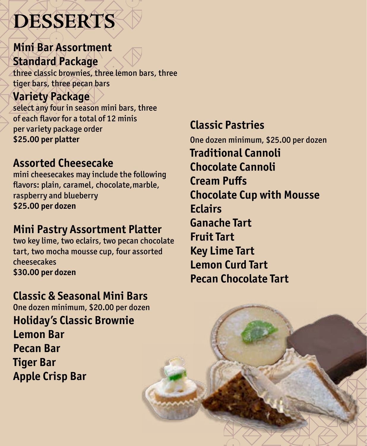## **DESSERTS**

## **Mini Bar Assortment Standard Package**

three classic brownies, three lemon bars, three tiger bars, three pecan bars

## **Variety Package**

select any four in season mini bars, three of each flavor for a total of 12 minis per variety package order **\$25.00 per platter**

### **Assorted Cheesecake**

mini cheesecakes may include the following flavors: plain, caramel, chocolate,marble, raspberry and blueberry **\$25.00 per dozen**

## **Mini Pastry Assortment Platter**

two key lime, two eclairs, two pecan chocolate tart, two mocha mousse cup, four assorted cheesecakes **\$30.00 per dozen**

## **Classic & Seasonal Mini Bars**

One dozen minimum, \$20.00 per dozen **Holiday's Classic Brownie**

**Lemon Bar Pecan Bar Tiger Bar Apple Crisp Bar** 

## **Classic Pastries**

One dozen minimum, \$25.00 per dozen **Traditional Cannoli Chocolate Cannoli Cream Puffs Chocolate Cup with Mousse Eclairs Ganache Tart Fruit Tart Key Lime Tart Lemon Curd Tart Pecan Chocolate Tart**